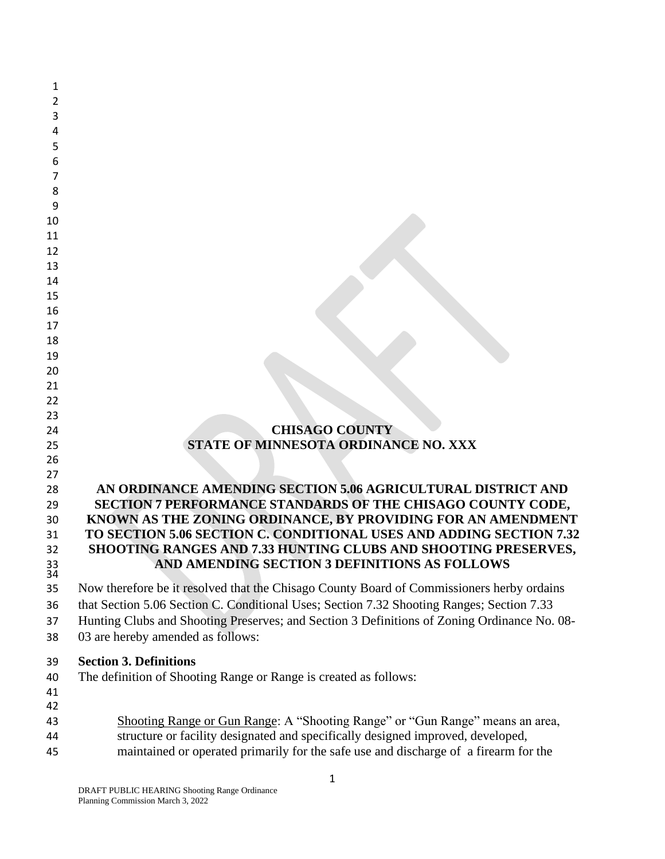| 1  |                                                                                             |
|----|---------------------------------------------------------------------------------------------|
| 2  |                                                                                             |
| 3  |                                                                                             |
| 4  |                                                                                             |
| 5  |                                                                                             |
| 6  |                                                                                             |
| 7  |                                                                                             |
| 8  |                                                                                             |
| 9  |                                                                                             |
| 10 |                                                                                             |
| 11 |                                                                                             |
| 12 |                                                                                             |
| 13 |                                                                                             |
| 14 |                                                                                             |
| 15 |                                                                                             |
| 16 |                                                                                             |
| 17 |                                                                                             |
| 18 |                                                                                             |
| 19 |                                                                                             |
| 20 |                                                                                             |
| 21 |                                                                                             |
| 22 |                                                                                             |
| 23 |                                                                                             |
| 24 | <b>CHISAGO COUNTY</b>                                                                       |
| 25 | STATE OF MINNESOTA ORDINANCE NO. XXX                                                        |
| 26 |                                                                                             |
| 27 |                                                                                             |
| 28 | AN ORDINANCE AMENDING SECTION 5.06 AGRICULTURAL DISTRICT AND                                |
| 29 | SECTION 7 PERFORMANCE STANDARDS OF THE CHISAGO COUNTY CODE,                                 |
| 30 | KNOWN AS THE ZONING ORDINANCE, BY PROVIDING FOR AN AMENDMENT                                |
| 31 | TO SECTION 5.06 SECTION C. CONDITIONAL USES AND ADDING SECTION 7.32                         |
| 32 | SHOOTING RANGES AND 7.33 HUNTING CLUBS AND SHOOTING PRESERVES,                              |
| 33 | AND AMENDING SECTION 3 DEFINITIONS AS FOLLOWS                                               |
| 34 |                                                                                             |
| 35 | Now therefore be it resolved that the Chisago County Board of Commissioners herby ordains   |
| 36 | that Section 5.06 Section C. Conditional Uses; Section 7.32 Shooting Ranges; Section 7.33   |
| 37 | Hunting Clubs and Shooting Preserves; and Section 3 Definitions of Zoning Ordinance No. 08- |
| 38 | 03 are hereby amended as follows:                                                           |
| 39 | <b>Section 3. Definitions</b>                                                               |
| 40 | The definition of Shooting Range or Range is created as follows:                            |
| 41 |                                                                                             |
| 42 |                                                                                             |
| 43 | Shooting Range or Gun Range: A "Shooting Range" or "Gun Range" means an area,               |
|    | structure or facility designated and specifically designed improved, developed,             |
| 44 | maintained or operated primarily for the safe use and discharge of a firearm for the        |
| 45 |                                                                                             |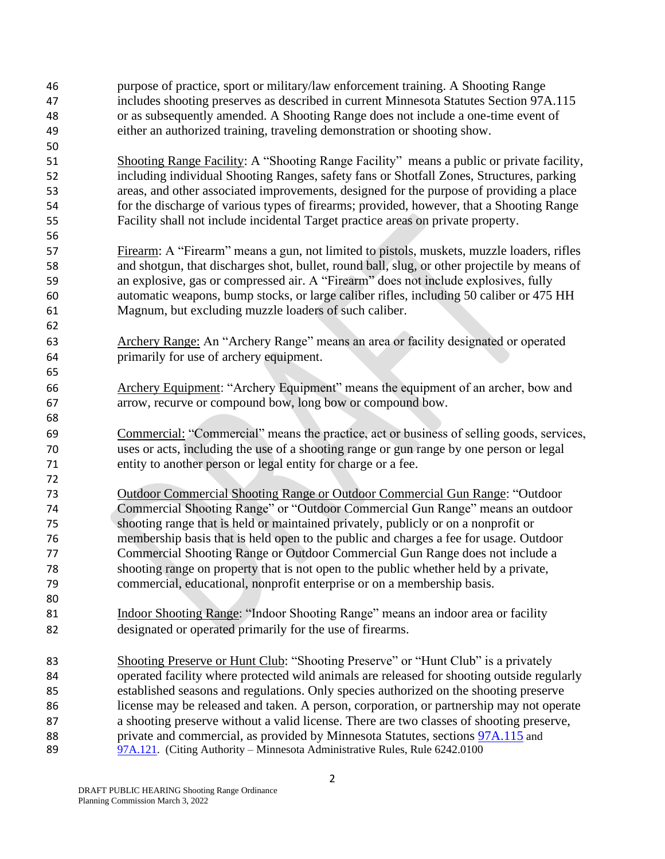purpose of practice, sport or military/law enforcement training. A Shooting Range includes shooting preserves as described in current Minnesota Statutes Section 97A.115 or as subsequently amended. A Shooting Range does not include a one-time event of either an authorized training, traveling demonstration or shooting show. Shooting Range Facility: A "Shooting Range Facility" means a public or private facility, including individual Shooting Ranges, safety fans or Shotfall Zones, Structures, parking areas, and other associated improvements, designed for the purpose of providing a place for the discharge of various types of firearms; provided, however, that a Shooting Range Facility shall not include incidental Target practice areas on private property. Firearm: A "Firearm" means a gun, not limited to pistols, muskets, muzzle loaders, rifles and shotgun, that discharges shot, bullet, round ball, slug, or other projectile by means of an explosive, gas or compressed air. A "Firearm" does not include explosives, fully automatic weapons, bump stocks, or large caliber rifles, including 50 caliber or 475 HH Magnum, but excluding muzzle loaders of such caliber. Archery Range: An "Archery Range" means an area or facility designated or operated primarily for use of archery equipment. Archery Equipment: "Archery Equipment" means the equipment of an archer, bow and arrow, recurve or compound bow, long bow or compound bow. Commercial: "Commercial" means the practice, act or business of selling goods, services, uses or acts, including the use of a shooting range or gun range by one person or legal entity to another person or legal entity for charge or a fee. Outdoor Commercial Shooting Range or Outdoor Commercial Gun Range: "Outdoor Commercial Shooting Range" or "Outdoor Commercial Gun Range" means an outdoor shooting range that is held or maintained privately, publicly or on a nonprofit or membership basis that is held open to the public and charges a fee for usage. Outdoor Commercial Shooting Range or Outdoor Commercial Gun Range does not include a shooting range on property that is not open to the public whether held by a private, commercial, educational, nonprofit enterprise or on a membership basis. Indoor Shooting Range: "Indoor Shooting Range" means an indoor area or facility designated or operated primarily for the use of firearms. Shooting Preserve or Hunt Club: "Shooting Preserve" or "Hunt Club" is a privately operated facility where protected wild animals are released for shooting outside regularly established seasons and regulations. Only species authorized on the shooting preserve license may be released and taken. A person, corporation, or partnership may not operate a shooting preserve without a valid license. There are two classes of shooting preserve, private and commercial, as provided by Minnesota Statutes, sections [97A.115](https://www.revisor.mn.gov/statutes/cite/97A.115) and [97A.121.](https://www.revisor.mn.gov/statutes/cite/97A.121) (Citing Authority – Minnesota Administrative Rules, Rule  $6242.0100$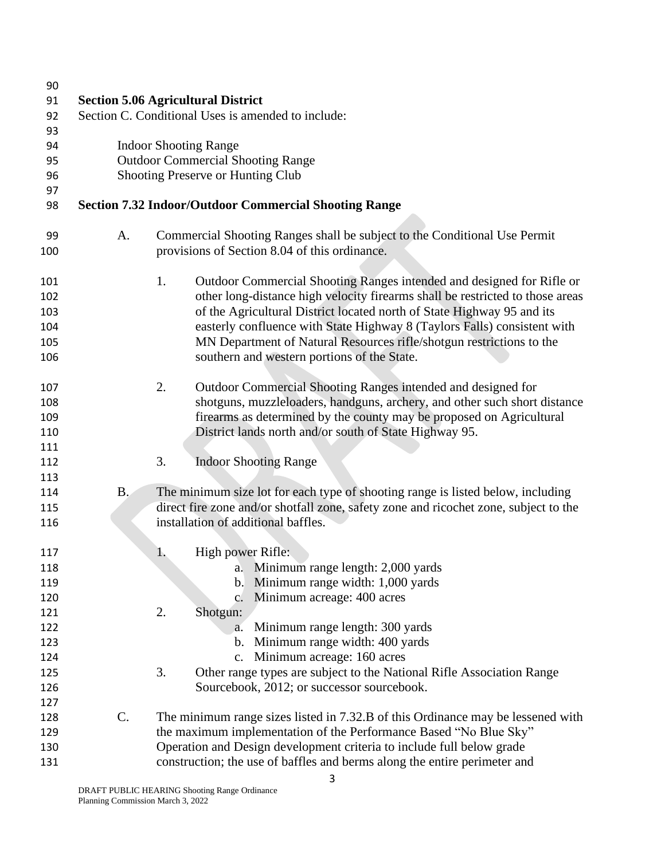| 90  |                                                    |                                                                                      |  |  |  |
|-----|----------------------------------------------------|--------------------------------------------------------------------------------------|--|--|--|
| 91  |                                                    | <b>Section 5.06 Agricultural District</b>                                            |  |  |  |
| 92  | Section C. Conditional Uses is amended to include: |                                                                                      |  |  |  |
| 93  |                                                    |                                                                                      |  |  |  |
| 94  | <b>Indoor Shooting Range</b>                       |                                                                                      |  |  |  |
| 95  |                                                    | <b>Outdoor Commercial Shooting Range</b>                                             |  |  |  |
| 96  |                                                    | Shooting Preserve or Hunting Club                                                    |  |  |  |
| 97  |                                                    |                                                                                      |  |  |  |
| 98  |                                                    | <b>Section 7.32 Indoor/Outdoor Commercial Shooting Range</b>                         |  |  |  |
| 99  | A.                                                 | Commercial Shooting Ranges shall be subject to the Conditional Use Permit            |  |  |  |
| 100 |                                                    | provisions of Section 8.04 of this ordinance.                                        |  |  |  |
| 101 |                                                    | 1.<br>Outdoor Commercial Shooting Ranges intended and designed for Rifle or          |  |  |  |
| 102 |                                                    | other long-distance high velocity firearms shall be restricted to those areas        |  |  |  |
| 103 |                                                    | of the Agricultural District located north of State Highway 95 and its               |  |  |  |
| 104 |                                                    | easterly confluence with State Highway 8 (Taylors Falls) consistent with             |  |  |  |
| 105 |                                                    | MN Department of Natural Resources rifle/shotgun restrictions to the                 |  |  |  |
| 106 |                                                    | southern and western portions of the State.                                          |  |  |  |
| 107 |                                                    | 2.<br>Outdoor Commercial Shooting Ranges intended and designed for                   |  |  |  |
| 108 |                                                    | shotguns, muzzleloaders, handguns, archery, and other such short distance            |  |  |  |
| 109 |                                                    | firearms as determined by the county may be proposed on Agricultural                 |  |  |  |
| 110 |                                                    | District lands north and/or south of State Highway 95.                               |  |  |  |
| 111 |                                                    |                                                                                      |  |  |  |
| 112 |                                                    | 3.<br><b>Indoor Shooting Range</b>                                                   |  |  |  |
| 113 |                                                    |                                                                                      |  |  |  |
| 114 | B <sub>1</sub>                                     | The minimum size lot for each type of shooting range is listed below, including      |  |  |  |
| 115 |                                                    | direct fire zone and/or shotfall zone, safety zone and ricochet zone, subject to the |  |  |  |
| 116 |                                                    | installation of additional baffles.                                                  |  |  |  |
| 117 |                                                    | High power Rifle:<br>1.                                                              |  |  |  |
| 118 |                                                    | a. Minimum range length: 2,000 yards                                                 |  |  |  |
| 119 |                                                    | b. Minimum range width: 1,000 yards                                                  |  |  |  |
| 120 |                                                    | c. Minimum acreage: 400 acres                                                        |  |  |  |
| 121 |                                                    | 2.<br>Shotgun:                                                                       |  |  |  |
| 122 |                                                    | Minimum range length: 300 yards<br>a.                                                |  |  |  |
| 123 |                                                    | b. Minimum range width: 400 yards                                                    |  |  |  |
| 124 |                                                    | c. Minimum acreage: 160 acres                                                        |  |  |  |
| 125 |                                                    | 3.<br>Other range types are subject to the National Rifle Association Range          |  |  |  |
| 126 |                                                    | Sourcebook, 2012; or successor sourcebook.                                           |  |  |  |
| 127 |                                                    |                                                                                      |  |  |  |
| 128 | C.                                                 | The minimum range sizes listed in 7.32.B of this Ordinance may be lessened with      |  |  |  |
| 129 |                                                    | the maximum implementation of the Performance Based "No Blue Sky"                    |  |  |  |
| 130 |                                                    | Operation and Design development criteria to include full below grade                |  |  |  |
| 131 |                                                    | construction; the use of baffles and berms along the entire perimeter and            |  |  |  |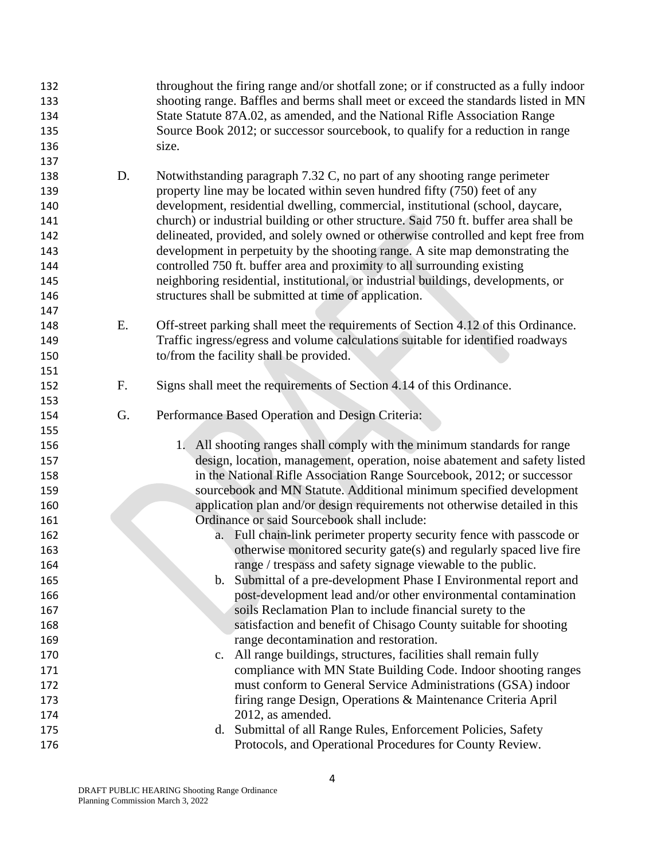| 132<br>133<br>134<br>135<br>136<br>137                             |    | throughout the firing range and/or shotfall zone; or if constructed as a fully indoor<br>shooting range. Baffles and berms shall meet or exceed the standards listed in MN<br>State Statute 87A.02, as amended, and the National Rifle Association Range<br>Source Book 2012; or successor sourcebook, to qualify for a reduction in range<br>size.                                                                                                                                                                                                                                                                                                                                                                              |
|--------------------------------------------------------------------|----|----------------------------------------------------------------------------------------------------------------------------------------------------------------------------------------------------------------------------------------------------------------------------------------------------------------------------------------------------------------------------------------------------------------------------------------------------------------------------------------------------------------------------------------------------------------------------------------------------------------------------------------------------------------------------------------------------------------------------------|
| 138<br>139<br>140<br>141<br>142<br>143<br>144<br>145<br>146<br>147 | D. | Notwithstanding paragraph 7.32 C, no part of any shooting range perimeter<br>property line may be located within seven hundred fifty (750) feet of any<br>development, residential dwelling, commercial, institutional (school, daycare,<br>church) or industrial building or other structure. Said 750 ft. buffer area shall be<br>delineated, provided, and solely owned or otherwise controlled and kept free from<br>development in perpetuity by the shooting range. A site map demonstrating the<br>controlled 750 ft. buffer area and proximity to all surrounding existing<br>neighboring residential, institutional, or industrial buildings, developments, or<br>structures shall be submitted at time of application. |
| 148<br>149<br>150<br>151                                           | Ε. | Off-street parking shall meet the requirements of Section 4.12 of this Ordinance.<br>Traffic ingress/egress and volume calculations suitable for identified roadways<br>to/from the facility shall be provided.                                                                                                                                                                                                                                                                                                                                                                                                                                                                                                                  |
| 152<br>153                                                         | F. | Signs shall meet the requirements of Section 4.14 of this Ordinance.                                                                                                                                                                                                                                                                                                                                                                                                                                                                                                                                                                                                                                                             |
| 154<br>155                                                         | G. | Performance Based Operation and Design Criteria:                                                                                                                                                                                                                                                                                                                                                                                                                                                                                                                                                                                                                                                                                 |
| 156                                                                |    | 1. All shooting ranges shall comply with the minimum standards for range                                                                                                                                                                                                                                                                                                                                                                                                                                                                                                                                                                                                                                                         |
| 157                                                                |    | design, location, management, operation, noise abatement and safety listed                                                                                                                                                                                                                                                                                                                                                                                                                                                                                                                                                                                                                                                       |
| 158                                                                |    | in the National Rifle Association Range Sourcebook, 2012; or successor                                                                                                                                                                                                                                                                                                                                                                                                                                                                                                                                                                                                                                                           |
| 159                                                                |    | sourcebook and MN Statute. Additional minimum specified development                                                                                                                                                                                                                                                                                                                                                                                                                                                                                                                                                                                                                                                              |
| 160                                                                |    | application plan and/or design requirements not otherwise detailed in this                                                                                                                                                                                                                                                                                                                                                                                                                                                                                                                                                                                                                                                       |
| 161                                                                |    | Ordinance or said Sourcebook shall include:                                                                                                                                                                                                                                                                                                                                                                                                                                                                                                                                                                                                                                                                                      |
| 162                                                                |    | a. Full chain-link perimeter property security fence with passcode or                                                                                                                                                                                                                                                                                                                                                                                                                                                                                                                                                                                                                                                            |
| 163                                                                |    | otherwise monitored security gate(s) and regularly spaced live fire                                                                                                                                                                                                                                                                                                                                                                                                                                                                                                                                                                                                                                                              |
| 164                                                                |    | range / trespass and safety signage viewable to the public.                                                                                                                                                                                                                                                                                                                                                                                                                                                                                                                                                                                                                                                                      |
| 165                                                                |    | Submittal of a pre-development Phase I Environmental report and<br>b.                                                                                                                                                                                                                                                                                                                                                                                                                                                                                                                                                                                                                                                            |
| 166                                                                |    | post-development lead and/or other environmental contamination                                                                                                                                                                                                                                                                                                                                                                                                                                                                                                                                                                                                                                                                   |
| 167                                                                |    | soils Reclamation Plan to include financial surety to the                                                                                                                                                                                                                                                                                                                                                                                                                                                                                                                                                                                                                                                                        |
| 168                                                                |    | satisfaction and benefit of Chisago County suitable for shooting                                                                                                                                                                                                                                                                                                                                                                                                                                                                                                                                                                                                                                                                 |
| 169                                                                |    | range decontamination and restoration.                                                                                                                                                                                                                                                                                                                                                                                                                                                                                                                                                                                                                                                                                           |
| 170                                                                |    | All range buildings, structures, facilities shall remain fully<br>$c_{\cdot}$                                                                                                                                                                                                                                                                                                                                                                                                                                                                                                                                                                                                                                                    |
| 171                                                                |    | compliance with MN State Building Code. Indoor shooting ranges                                                                                                                                                                                                                                                                                                                                                                                                                                                                                                                                                                                                                                                                   |
| 172                                                                |    | must conform to General Service Administrations (GSA) indoor                                                                                                                                                                                                                                                                                                                                                                                                                                                                                                                                                                                                                                                                     |
| 173                                                                |    | firing range Design, Operations & Maintenance Criteria April                                                                                                                                                                                                                                                                                                                                                                                                                                                                                                                                                                                                                                                                     |
| 174                                                                |    | 2012, as amended.                                                                                                                                                                                                                                                                                                                                                                                                                                                                                                                                                                                                                                                                                                                |
| 175                                                                |    | d. Submittal of all Range Rules, Enforcement Policies, Safety                                                                                                                                                                                                                                                                                                                                                                                                                                                                                                                                                                                                                                                                    |
| 176                                                                |    | Protocols, and Operational Procedures for County Review.                                                                                                                                                                                                                                                                                                                                                                                                                                                                                                                                                                                                                                                                         |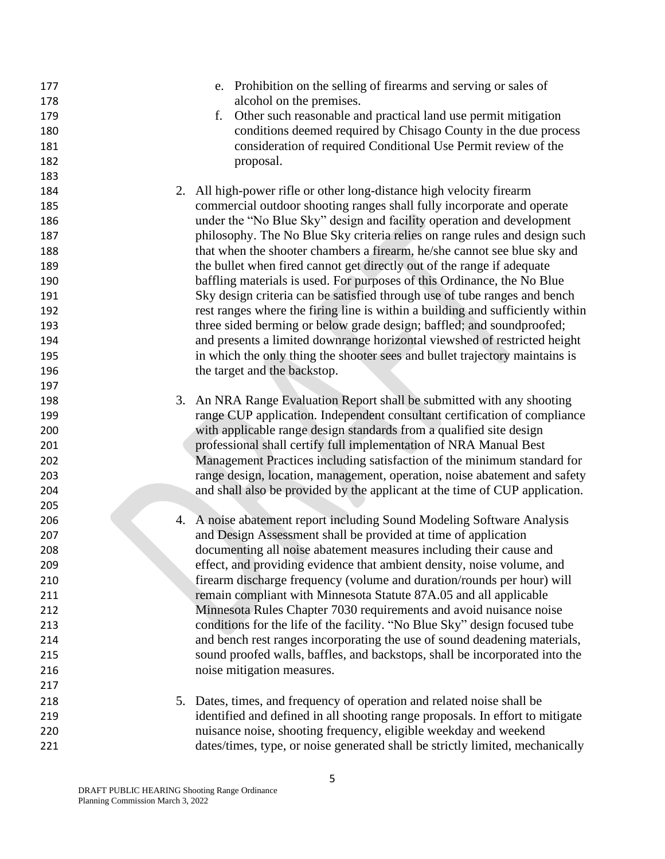| 177<br>178 | e. Prohibition on the selling of firearms and serving or sales of<br>alcohol on the premises.                                                            |
|------------|----------------------------------------------------------------------------------------------------------------------------------------------------------|
| 179        | Other such reasonable and practical land use permit mitigation<br>f.                                                                                     |
| 180        | conditions deemed required by Chisago County in the due process                                                                                          |
| 181        | consideration of required Conditional Use Permit review of the                                                                                           |
| 182        | proposal.                                                                                                                                                |
| 183        |                                                                                                                                                          |
| 184        | 2. All high-power rifle or other long-distance high velocity firearm                                                                                     |
| 185        | commercial outdoor shooting ranges shall fully incorporate and operate                                                                                   |
| 186        | under the "No Blue Sky" design and facility operation and development                                                                                    |
| 187        | philosophy. The No Blue Sky criteria relies on range rules and design such                                                                               |
| 188        | that when the shooter chambers a firearm, he/she cannot see blue sky and                                                                                 |
| 189        | the bullet when fired cannot get directly out of the range if adequate                                                                                   |
| 190        | baffling materials is used. For purposes of this Ordinance, the No Blue                                                                                  |
| 191        | Sky design criteria can be satisfied through use of tube ranges and bench                                                                                |
|            |                                                                                                                                                          |
| 192        | rest ranges where the firing line is within a building and sufficiently within                                                                           |
| 193        | three sided berming or below grade design; baffled; and soundproofed;                                                                                    |
| 194        | and presents a limited downrange horizontal viewshed of restricted height<br>in which the only thing the shooter sees and bullet trajectory maintains is |
| 195        |                                                                                                                                                          |
| 196        | the target and the backstop.                                                                                                                             |
| 197        |                                                                                                                                                          |
| 198        | 3. An NRA Range Evaluation Report shall be submitted with any shooting                                                                                   |
| 199        | range CUP application. Independent consultant certification of compliance                                                                                |
| 200        | with applicable range design standards from a qualified site design                                                                                      |
| 201        | professional shall certify full implementation of NRA Manual Best                                                                                        |
| 202        | Management Practices including satisfaction of the minimum standard for                                                                                  |
| 203        | range design, location, management, operation, noise abatement and safety                                                                                |
| 204        | and shall also be provided by the applicant at the time of CUP application.                                                                              |
| 205        |                                                                                                                                                          |
| 206        | 4. A noise abatement report including Sound Modeling Software Analysis                                                                                   |
| 207        | and Design Assessment shall be provided at time of application                                                                                           |
| 208        | documenting all noise abatement measures including their cause and                                                                                       |
| 209        | effect, and providing evidence that ambient density, noise volume, and                                                                                   |
| 210        | firearm discharge frequency (volume and duration/rounds per hour) will                                                                                   |
| 211        | remain compliant with Minnesota Statute 87A.05 and all applicable                                                                                        |
| 212        | Minnesota Rules Chapter 7030 requirements and avoid nuisance noise                                                                                       |
| 213        | conditions for the life of the facility. "No Blue Sky" design focused tube                                                                               |
| 214        | and bench rest ranges incorporating the use of sound deadening materials,                                                                                |
| 215        | sound proofed walls, baffles, and backstops, shall be incorporated into the                                                                              |
| 216        | noise mitigation measures.                                                                                                                               |
| 217        |                                                                                                                                                          |
| 218        | 5. Dates, times, and frequency of operation and related noise shall be                                                                                   |
| 219        | identified and defined in all shooting range proposals. In effort to mitigate                                                                            |
| 220        | nuisance noise, shooting frequency, eligible weekday and weekend                                                                                         |
| 221        | dates/times, type, or noise generated shall be strictly limited, mechanically                                                                            |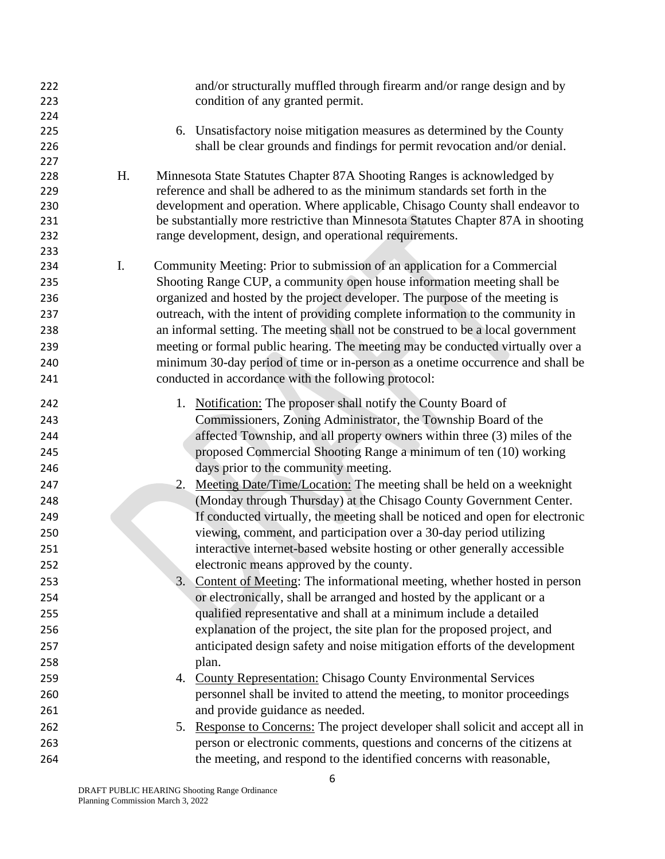| 222<br>223 |    | and/or structurally muffled through firearm and/or range design and by<br>condition of any granted permit. |
|------------|----|------------------------------------------------------------------------------------------------------------|
| 224        |    |                                                                                                            |
| 225        |    | 6. Unsatisfactory noise mitigation measures as determined by the County                                    |
| 226        |    | shall be clear grounds and findings for permit revocation and/or denial.                                   |
| 227        |    |                                                                                                            |
| 228        | H. | Minnesota State Statutes Chapter 87A Shooting Ranges is acknowledged by                                    |
| 229        |    | reference and shall be adhered to as the minimum standards set forth in the                                |
| 230        |    | development and operation. Where applicable, Chisago County shall endeavor to                              |
| 231        |    | be substantially more restrictive than Minnesota Statutes Chapter 87A in shooting                          |
| 232        |    | range development, design, and operational requirements.                                                   |
| 233        |    |                                                                                                            |
| 234        | I. | Community Meeting: Prior to submission of an application for a Commercial                                  |
| 235        |    | Shooting Range CUP, a community open house information meeting shall be                                    |
| 236        |    | organized and hosted by the project developer. The purpose of the meeting is                               |
| 237        |    | outreach, with the intent of providing complete information to the community in                            |
| 238        |    | an informal setting. The meeting shall not be construed to be a local government                           |
| 239        |    | meeting or formal public hearing. The meeting may be conducted virtually over a                            |
| 240        |    | minimum 30-day period of time or in-person as a onetime occurrence and shall be                            |
| 241        |    | conducted in accordance with the following protocol:                                                       |
|            |    |                                                                                                            |
| 242        |    | 1. Notification: The proposer shall notify the County Board of                                             |
| 243        |    | Commissioners, Zoning Administrator, the Township Board of the                                             |
| 244        |    | affected Township, and all property owners within three (3) miles of the                                   |
| 245        |    | proposed Commercial Shooting Range a minimum of ten (10) working                                           |
| 246        |    | days prior to the community meeting.                                                                       |
| 247        |    | 2. Meeting Date/Time/Location: The meeting shall be held on a weeknight                                    |
| 248        |    | (Monday through Thursday) at the Chisago County Government Center.                                         |
| 249        |    | If conducted virtually, the meeting shall be noticed and open for electronic                               |
| 250        |    | viewing, comment, and participation over a 30-day period utilizing                                         |
| 251        |    | interactive internet-based website hosting or other generally accessible                                   |
| 252        |    | electronic means approved by the county.                                                                   |
| 253        |    | 3. Content of Meeting: The informational meeting, whether hosted in person                                 |
| 254        |    | or electronically, shall be arranged and hosted by the applicant or a                                      |
| 255        |    | qualified representative and shall at a minimum include a detailed                                         |
| 256        |    | explanation of the project, the site plan for the proposed project, and                                    |
| 257        |    | anticipated design safety and noise mitigation efforts of the development                                  |
| 258        |    | plan.                                                                                                      |
| 259        |    | 4. County Representation: Chisago County Environmental Services                                            |
| 260        |    | personnel shall be invited to attend the meeting, to monitor proceedings                                   |
| 261        |    | and provide guidance as needed.                                                                            |
| 262        |    | 5. Response to Concerns: The project developer shall solicit and accept all in                             |
| 263        |    | person or electronic comments, questions and concerns of the citizens at                                   |
|            |    |                                                                                                            |
| 264        |    | the meeting, and respond to the identified concerns with reasonable,                                       |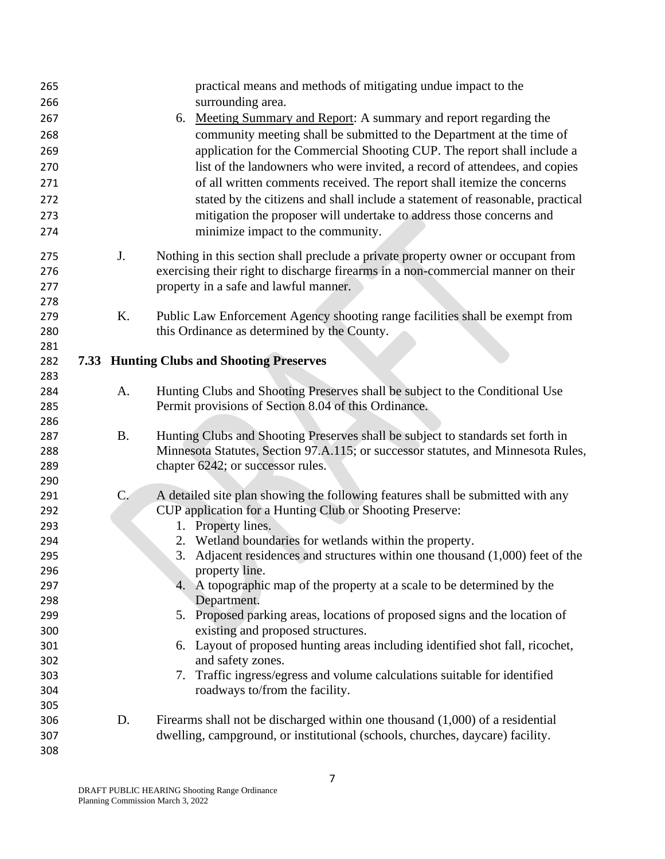| 265        |           | practical means and methods of mitigating undue impact to the                     |
|------------|-----------|-----------------------------------------------------------------------------------|
| 266        |           | surrounding area.                                                                 |
| 267        |           | 6. Meeting Summary and Report: A summary and report regarding the                 |
| 268        |           | community meeting shall be submitted to the Department at the time of             |
| 269        |           | application for the Commercial Shooting CUP. The report shall include a           |
| 270        |           | list of the landowners who were invited, a record of attendees, and copies        |
| 271        |           | of all written comments received. The report shall itemize the concerns           |
| 272        |           | stated by the citizens and shall include a statement of reasonable, practical     |
| 273        |           | mitigation the proposer will undertake to address those concerns and              |
| 274        |           | minimize impact to the community.                                                 |
| 275        | J.        | Nothing in this section shall preclude a private property owner or occupant from  |
| 276        |           | exercising their right to discharge firearms in a non-commercial manner on their  |
| 277        |           | property in a safe and lawful manner.                                             |
| 278        |           |                                                                                   |
| 279        | K.        | Public Law Enforcement Agency shooting range facilities shall be exempt from      |
| 280        |           | this Ordinance as determined by the County.                                       |
| 281        |           |                                                                                   |
| 282        |           | <b>7.33 Hunting Clubs and Shooting Preserves</b>                                  |
| 283        |           |                                                                                   |
| 284        | A.        | Hunting Clubs and Shooting Preserves shall be subject to the Conditional Use      |
| 285        |           | Permit provisions of Section 8.04 of this Ordinance.                              |
| 286<br>287 | <b>B.</b> | Hunting Clubs and Shooting Preserves shall be subject to standards set forth in   |
| 288        |           | Minnesota Statutes, Section 97.A.115; or successor statutes, and Minnesota Rules, |
| 289        |           | chapter 6242; or successor rules.                                                 |
| 290        |           |                                                                                   |
| 291        | $C$ .     | A detailed site plan showing the following features shall be submitted with any   |
| 292        |           | CUP application for a Hunting Club or Shooting Preserve:                          |
| 293        |           | 1. Property lines.                                                                |
| 294        |           | 2. Wetland boundaries for wetlands within the property.                           |
| 295        |           | 3. Adjacent residences and structures within one thousand $(1,000)$ feet of the   |
| 296        |           | property line.                                                                    |
| 297        |           | 4. A topographic map of the property at a scale to be determined by the           |
| 298        |           | Department.                                                                       |
| 299        |           | 5. Proposed parking areas, locations of proposed signs and the location of        |
| 300        |           | existing and proposed structures.                                                 |
| 301        |           | 6. Layout of proposed hunting areas including identified shot fall, ricochet,     |
| 302        |           | and safety zones.                                                                 |
| 303        |           | 7. Traffic ingress/egress and volume calculations suitable for identified         |
| 304        |           | roadways to/from the facility.                                                    |
| 305        |           |                                                                                   |
| 306        | D.        | Firearms shall not be discharged within one thousand $(1,000)$ of a residential   |
| 307        |           | dwelling, campground, or institutional (schools, churches, daycare) facility.     |
| 308        |           |                                                                                   |